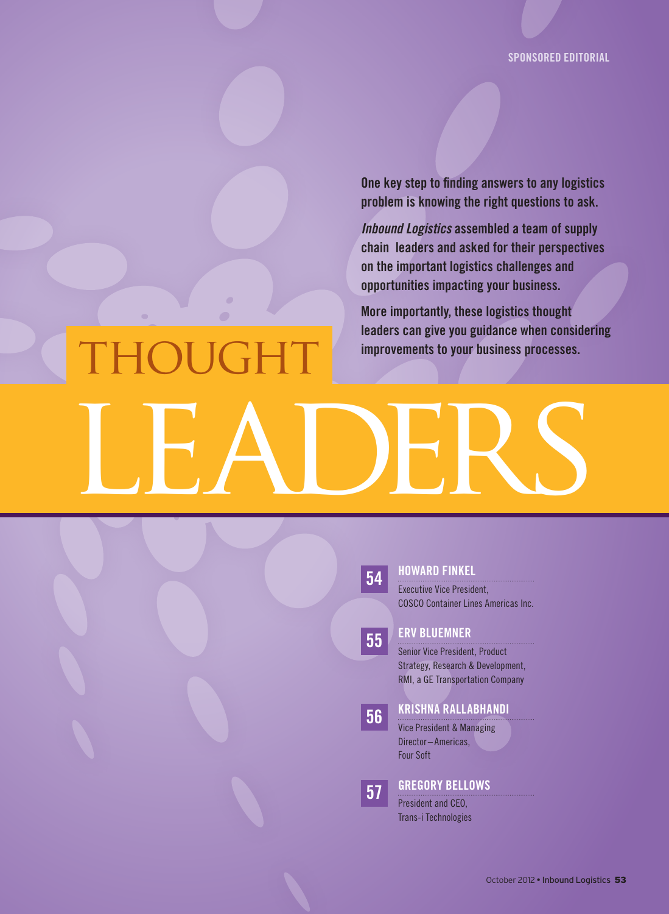Sponsored Editorial

One key step to finding answers to any logistics problem is knowing the right questions to ask.

*Inbound Logistics* assembled a team of supply chain leaders and asked for their perspectives on the important logistics challenges and opportunities impacting your business.

More importantly, these logistics thought leaders can give you guidance when considering

## HOUGHT improvements to your business processes. LEADERS



### 54 Howard Finkel

Executive Vice President, COSCO Container Lines Americas Inc.

### 55 **ERV BLUEMNER**

Senior Vice President, Product Strategy, Research & Development, RMI, a GE Transportation Company

## 56 Krishna Rallabhandi

Vice President & Managing Director–Americas, Four Soft

**57 GREGORY BELLOWS** 

President and CEO, Trans-i Technologies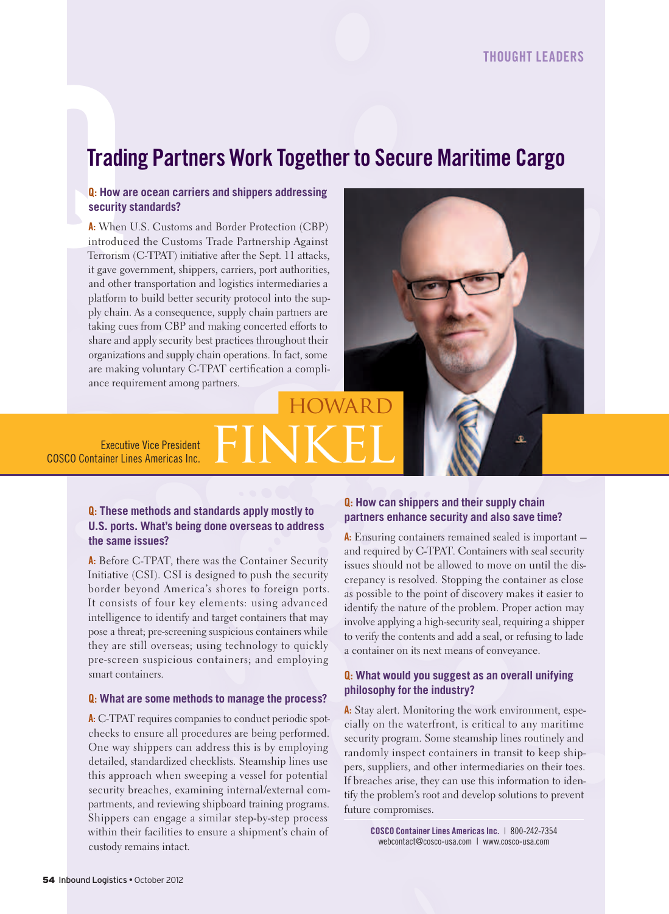## **Trading Partners Work Together to Secure Maritime Cargo**

### Q: **How are ocean carriers and shippers addressing security standards?**

**Tradi**<br> **Q:** How a<br>
security<br>
A: When<br>
introduc<br>
Terrorism<br>
it gave go<br>
and othe A: When U.S. Customs and Border Protection (CBP) introduced the Customs Trade Partnership Against Terrorism (C-TPAT) initiative after the Sept. 11 attacks, it gave government, shippers, carriers, port authorities, and other transportation and logistics intermediaries a platform to build better security protocol into the supply chain. As a consequence, supply chain partners are taking cues from CBP and making concerted efforts to share and apply security best practices throughout their organizations and supply chain operations. In fact, some are making voluntary C-TPAT certification a compliance requirement among partners.

## **HOWARD** Executive Vice President<br>COSCO Container Lines Americas Inc. FINKEL

Executive Vice President

### Q: **These methods and standards apply mostly to U.S. ports. What's being done overseas to address the same issues?**

A: Before C-TPAT, there was the Container Security Initiative (CSI). CSI is designed to push the security border beyond America's shores to foreign ports. It consists of four key elements: using advanced intelligence to identify and target containers that may pose a threat; pre-screening suspicious containers while they are still overseas; using technology to quickly pre-screen suspicious containers; and employing smart containers.

### Q: **What are some methods to manage the process?**

A: C-TPAT requires companies to conduct periodic spotchecks to ensure all procedures are being performed. One way shippers can address this is by employing detailed, standardized checklists. Steamship lines use this approach when sweeping a vessel for potential security breaches, examining internal/external compartments, and reviewing shipboard training programs. Shippers can engage a similar step-by-step process within their facilities to ensure a shipment's chain of custody remains intact.

### Q: **How can shippers and their supply chain partners enhance security and also save time?**

Æ.

A: Ensuring containers remained sealed is important  $$ and required by C-TPAT. Containers with seal security issues should not be allowed to move on until the discrepancy is resolved. Stopping the container as close as possible to the point of discovery makes it easier to identify the nature of the problem. Proper action may involve applying a high-security seal, requiring a shipper to verify the contents and add a seal, or refusing to lade a container on its next means of conveyance.

### Q: **What would you suggest as an overall unifying philosophy for the industry?**

A: Stay alert. Monitoring the work environment, especially on the waterfront, is critical to any maritime security program. Some steamship lines routinely and randomly inspect containers in transit to keep shippers, suppliers, and other intermediaries on their toes. If breaches arise, they can use this information to identify the problem's root and develop solutions to prevent future compromises.

> CoSCo Container lines americas inc. | 800-242-7354 webcontact@cosco-usa.com | www.cosco-usa.com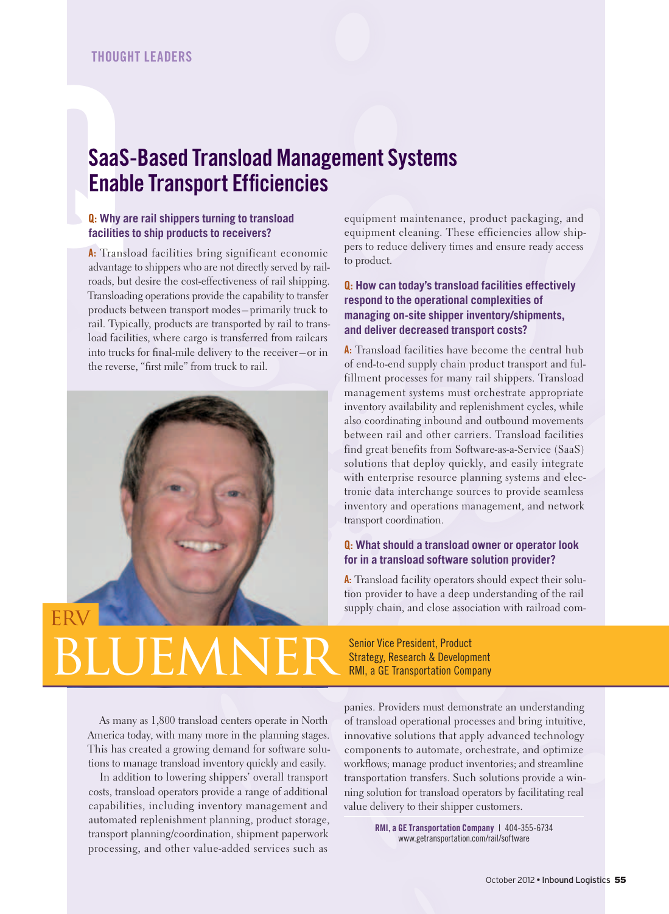# SaaS<br>
Enab<br> **Q.** Why a<br>
facilities<br>
A. Transl<br>
advantage<br>
roads, bu SaaS-Based transload Management Systems **Enable Transport Efficiencies**

### Q: **Why are rail shippers turning to transload facilities to ship products to receivers?**

A: Transload facilities bring significant economic advantage to shippers who are not directly served by railroads, but desire the cost-effectiveness of rail shipping. Transloading operations provide the capability to transfer products between transport modes – primarily truck to rail. Typically, products are transported by rail to transload facilities, where cargo is transferred from railcars into trucks for final-mile delivery to the receiver-or in the reverse, "first mile" from truck to rail.



equipment maintenance, product packaging, and equipment cleaning. These efficiencies allow shippers to reduce delivery times and ensure ready access to product.

### Q: **How can today's transload facilities effectively respond to the operational complexities of managing on-site shipper inventory/shipments, and deliver decreased transport costs?**

A: Transload facilities have become the central hub of end-to-end supply chain product transport and fulfillment processes for many rail shippers. Transload management systems must orchestrate appropriate inventory availability and replenishment cycles, while also coordinating inbound and outbound movements between rail and other carriers. Transload facilities find great benefits from Software-as-a-Service (SaaS) solutions that deploy quickly, and easily integrate with enterprise resource planning systems and electronic data interchange sources to provide seamless inventory and operations management, and network transport coordination.

#### Q: **What should a transload owner or operator look for in a transload software solution provider?**

A: Transload facility operators should expect their solution provider to have a deep understanding of the rail supply chain, and close association with railroad com-

**III DEMNER** Senior Vice President, Product Strategy, Research & Development RMI, a GE Transportation Company

As many as 1,800 transload centers operate in North America today, with many more in the planning stages. This has created a growing demand for software solutions to manage transload inventory quickly and easily.

In addition to lowering shippers' overall transport costs, transload operators provide a range of additional capabilities, including inventory management and automated replenishment planning, product storage, transport planning/coordination, shipment paperwork processing, and other value-added services such as

panies. Providers must demonstrate an understanding of transload operational processes and bring intuitive, innovative solutions that apply advanced technology components to automate, orchestrate, and optimize work flows; manage product inventories; and streamline transportation transfers. Such solutions provide a winning solution for transload operators by facilitating real value delivery to their shipper customers.

> RMI, a GE Transportation Company | 404-355-6734 www.getransportation.com/rail/software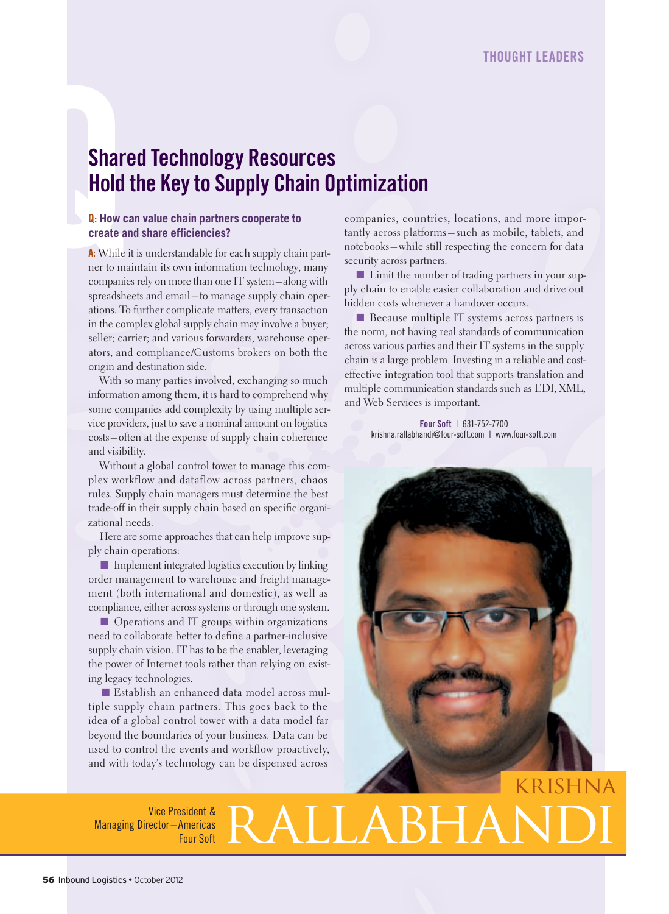# Shart<br>
Hold<br> **Q:** How c<br>
create a<br>
A: While<br>
ner to ma<br>
companie **Shared Technology Resources Hold the Key to Supply Chain Optimization**

### Q: **How can value chain partners cooperate to create and share efficiencies?**

A: While it is understandable for each supply chain partner to maintain its own information technology, many companies rely on more than one IT system – along with spreadsheets and email – to manage supply chain operations. To further complicate matters, every transaction in the complex global supply chain may involve a buyer; seller; carrier; and various forwarders, warehouse operators, and compliance/Customs brokers on both the origin and destination side.

With so many parties involved, exchanging so much information among them, it is hard to comprehend why some companies add complexity by using multiple service providers, just to save a nominal amount on logistics costs – often at the expense of supply chain coherence and visibility.

Without a global control tower to manage this complex workflow and dataflow across partners, chaos rules. Supply chain managers must determine the best trade-off in their supply chain based on specific organizational needs.

Here are some approaches that can help improve supply chain operations:

■ Implement integrated logistics execution by linking order management to warehouse and freight management (both international and domestic), as well as compliance, either across systems or through one system.

■ Operations and IT groups within organizations need to collaborate better to define a partner-inclusive supply chain vision. IT has to be the enabler, leveraging the power of Internet tools rather than relying on existing legacy technologies.

■ Establish an enhanced data model across multiple supply chain partners. This goes back to the idea of a global control tower with a data model far beyond the boundaries of your business. Data can be used to control the events and workflow proactively, and with today's technology can be dispensed across

companies, countries, locations, and more importantly across platforms – such as mobile, tablets, and notebooks – while still respecting the concern for data security across partners.

■ Limit the number of trading partners in your supply chain to enable easier collaboration and drive out hidden costs whenever a handover occurs.

■ Because multiple IT systems across partners is the norm, not having real standards of communication across various parties and their IT systems in the supply chain is a large problem. Investing in a reliable and costeffective integration tool that supports translation and multiple communication standards such as EDI, XML, and Web Services is important.

> Four Soft | 631-752-7700 krishna.rallabhandi@four-soft.com | www.four-soft.com



### Vice President & Managing Director – Americas AMERALLABH